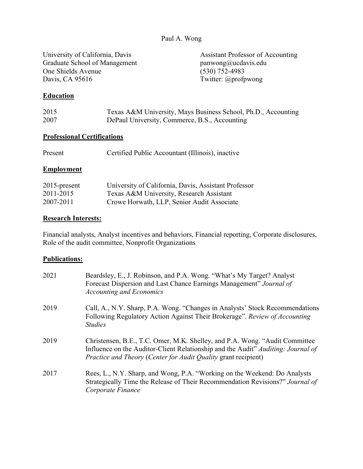### Paul A. Wong

University of California, Davis<br>
Graduate School of Management<br>
panwong@ucdavis.edu<br>
panwong@ucdavis.edu Graduate School of Management panwong@ucda<br>One Shields Avenue (530) 752-4983 One Shields Avenue Davis, CA 95616Twitter: @profpwong

### **Education**

| 2015 | Texas A&M University, Mays Business School, Ph.D., Accounting |
|------|---------------------------------------------------------------|
| 2007 | DePaul University, Commerce, B.S., Accounting                 |

#### **Professional Certifications**

| Present | Certified Public Accountant (Illinois), inactive |
|---------|--------------------------------------------------|
|---------|--------------------------------------------------|

#### **Employment**

| $2015$ -present | University of California, Davis, Assistant Professor |
|-----------------|------------------------------------------------------|
| 2011-2015       | Texas A&M University, Research Assistant             |
| 2007-2011       | Crowe Horwath, LLP, Senior Audit Associate           |

### **Research Interests:**

Financial analysts, Analyst incentives and behaviors, Financial reporting, Corporate disclosures, Role of the audit committee, Nonprofit Organizations

### **Publications:**

| 2021 | Beardsley, E., J. Robinson, and P.A. Wong. "What's My Target? Analyst<br>Forecast Dispersion and Last Chance Earnings Management" Journal of<br><b>Accounting and Economics</b>                                                   |
|------|-----------------------------------------------------------------------------------------------------------------------------------------------------------------------------------------------------------------------------------|
| 2019 | Call, A., N.Y. Sharp, P.A. Wong. "Changes in Analysts' Stock Recommendations<br>Following Regulatory Action Against Their Brokerage". Review of Accounting<br><b>Studies</b>                                                      |
| 2019 | Christensen, B.E., T.C. Omer, M.K. Shelley, and P.A. Wong. "Audit Committee<br>Influence on the Auditor-Client Relationship and the Audit" Auditing: Journal of<br>Practice and Theory (Center for Audit Quality grant recipient) |
| 2017 | Rees, L., N.Y. Sharp, and Wong, P.A. "Working on the Weekend: Do Analysts<br>Strategically Time the Release of Their Recommendation Revisions?" Journal of<br>Corporate Finance                                                   |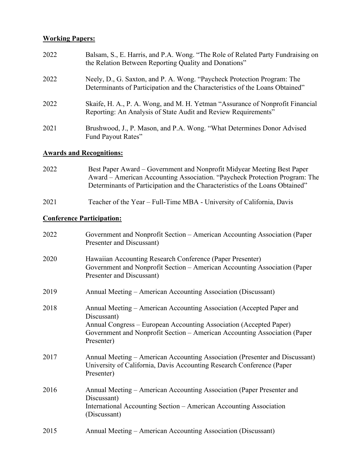# **Working Papers:**

| 2022 | Balsam, S., E. Harris, and P.A. Wong. "The Role of Related Party Fundraising on<br>the Relation Between Reporting Quality and Donations"                |
|------|---------------------------------------------------------------------------------------------------------------------------------------------------------|
| 2022 | Neely, D., G. Saxton, and P. A. Wong. "Paycheck Protection Program: The<br>Determinants of Participation and the Characteristics of the Loans Obtained" |
| 2022 | Skaife, H. A., P. A. Wong, and M. H. Yetman "Assurance of Nonprofit Financial<br>Reporting: An Analysis of State Audit and Review Requirements"         |
| 2021 | Brushwood, J., P. Mason, and P.A. Wong. "What Determines Donor Advised<br>Fund Payout Rates"                                                            |

# **Awards and Recognitions:**

| 2022 | Best Paper Award – Government and Nonprofit Midyear Meeting Best Paper<br>Award – American Accounting Association. "Paycheck Protection Program: The<br>Determinants of Participation and the Characteristics of the Loans Obtained"                 |
|------|------------------------------------------------------------------------------------------------------------------------------------------------------------------------------------------------------------------------------------------------------|
| 2021 | Teacher of the Year – Full-Time MBA - University of California, Davis                                                                                                                                                                                |
|      | <b>Conference Participation:</b>                                                                                                                                                                                                                     |
| 2022 | Government and Nonprofit Section – American Accounting Association (Paper<br>Presenter and Discussant)                                                                                                                                               |
| 2020 | Hawaiian Accounting Research Conference (Paper Presenter)<br>Government and Nonprofit Section - American Accounting Association (Paper<br>Presenter and Discussant)                                                                                  |
| 2019 | Annual Meeting – American Accounting Association (Discussant)                                                                                                                                                                                        |
| 2018 | Annual Meeting – American Accounting Association (Accepted Paper and<br>Discussant)<br>Annual Congress – European Accounting Association (Accepted Paper)<br>Government and Nonprofit Section – American Accounting Association (Paper<br>Presenter) |
| 2017 | Annual Meeting - American Accounting Association (Presenter and Discussant)<br>University of California, Davis Accounting Research Conference (Paper<br>Presenter)                                                                                   |
| 2016 | Annual Meeting – American Accounting Association (Paper Presenter and<br>Discussant)<br>International Accounting Section - American Accounting Association<br>(Discussant)                                                                           |
| 2015 | Annual Meeting – American Accounting Association (Discussant)                                                                                                                                                                                        |